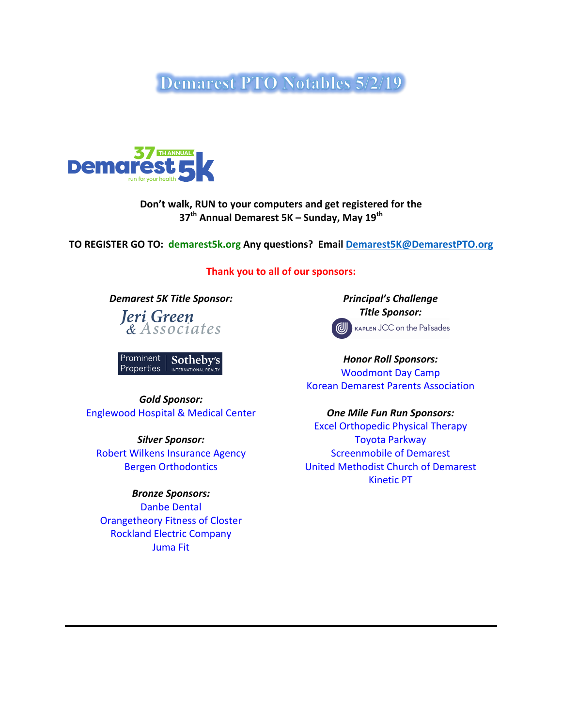**Demarest PTO Notables 5/2/19** 



## Don't walk, RUN to your computers and get registered for the **37th Annual Demarest 5K – Sunday, May 19th**

**TO REGISTER GO TO: demarest5k.org Any questions? Email Demarest5K@DemarestPTO.org** 

**Thank you to all of our sponsors:** 

**Demarest 5K Title Sponsor:** *Principal's* **Challenge** 

Jeri Green & Associates

Prominent Sotheby's Properties INTERNATIONAL RE

*Gold Sponsor:* Englewood Hospital & Medical Center **Canadian Cone Mile Fun Run Sponsors:** 

*Silver Sponsor:* Robert Wilkens Insurance Agency Bergen Orthodontics

*Bronze Sponsors:* Danbe Dental Orangetheory Fitness of Closter Rockland Electric Company Juma Fit

*Title Sponsor:*



KAPLEN JCC on the Palisades

*Honor Roll Sponsors:* Woodmont Day Camp Korean Demarest Parents Association

Excel Orthopedic Physical Therapy Toyota Parkway **Screenmobile of Demarest** United Methodist Church of Demarest Kinetic PT